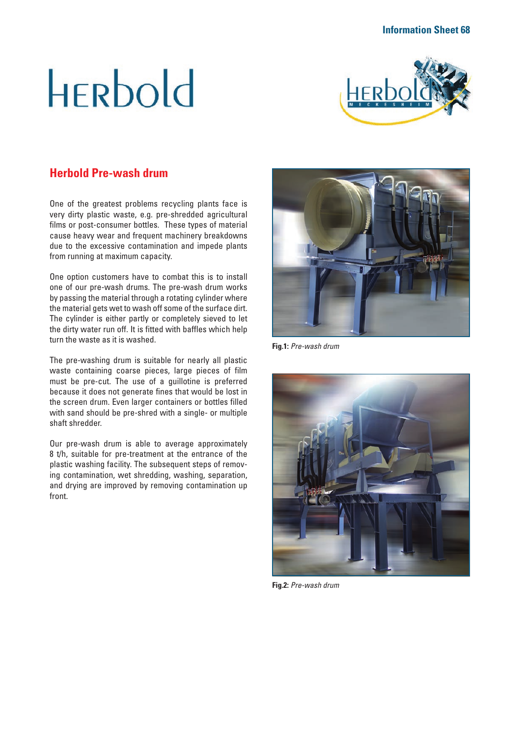# **HERbold**



# **Herbold Pre-wash drum**

One of the greatest problems recycling plants face is very dirty plastic waste, e.g. pre-shredded agricultural films or post-consumer bottles. These types of material cause heavy wear and frequent machinery breakdowns due to the excessive contamination and impede plants from running at maximum capacity.

One option customers have to combat this is to install one of our pre-wash drums. The pre-wash drum works by passing the material through a rotating cylinder where the material gets wet to wash off some of the surface dirt. The cylinder is either partly or completely sieved to let the dirty water run off. It is fitted with baffles which help turn the waste as it is washed.

The pre-washing drum is suitable for nearly all plastic waste containing coarse pieces, large pieces of film must be pre-cut. The use of a guillotine is preferred because it does not generate fines that would be lost in the screen drum. Even larger containers or bottles filled with sand should be pre-shred with a single- or multiple shaft shredder.

Our pre-wash drum is able to average approximately 8 t/h, suitable for pre-treatment at the entrance of the plastic washing facility. The subsequent steps of removing contamination, wet shredding, washing, separation, and drying are improved by removing contamination up front.



**Fig.1:** *Pre-wash drum*



**Fig.2:** *Pre-wash drum*